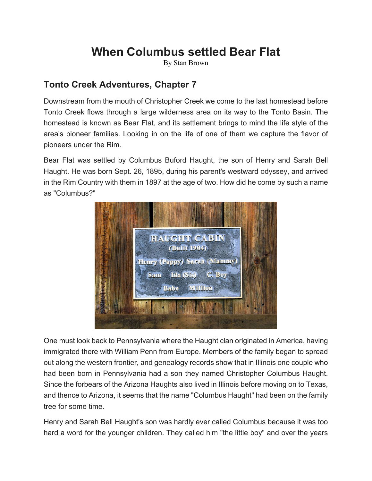## **When Columbus settled Bear Flat**

By Stan Brown

## **Tonto Creek Adventures, Chapter 7**

Downstream from the mouth of Christopher Creek we come to the last homestead before Tonto Creek flows through a large wilderness area on its way to the Tonto Basin. The homestead is known as Bear Flat, and its settlement brings to mind the life style of the area's pioneer families. Looking in on the life of one of them we capture the flavor of pioneers under the Rim.

Bear Flat was settled by Columbus Buford Haught, the son of Henry and Sarah Bell Haught. He was born Sept. 26, 1895, during his parent's westward odyssey, and arrived in the Rim Country with them in 1897 at the age of two. How did he come by such a name as "Columbus?"



One must look back to Pennsylvania where the Haught clan originated in America, having immigrated there with William Penn from Europe. Members of the family began to spread out along the western frontier, and genealogy records show that in Illinois one couple who had been born in Pennsylvania had a son they named Christopher Columbus Haught. Since the forbears of the Arizona Haughts also lived in Illinois before moving on to Texas, and thence to Arizona, it seems that the name "Columbus Haught" had been on the family tree for some time.

Henry and Sarah Bell Haught's son was hardly ever called Columbus because it was too hard a word for the younger children. They called him "the little boy" and over the years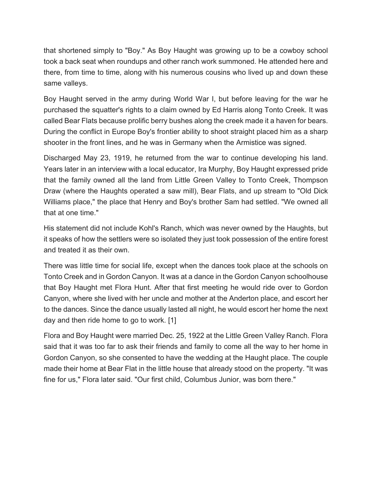that shortened simply to "Boy." As Boy Haught was growing up to be a cowboy school took a back seat when roundups and other ranch work summoned. He attended here and there, from time to time, along with his numerous cousins who lived up and down these same valleys.

Boy Haught served in the army during World War I, but before leaving for the war he purchased the squatter's rights to a claim owned by Ed Harris along Tonto Creek. It was called Bear Flats because prolific berry bushes along the creek made it a haven for bears. During the conflict in Europe Boy's frontier ability to shoot straight placed him as a sharp shooter in the front lines, and he was in Germany when the Armistice was signed.

Discharged May 23, 1919, he returned from the war to continue developing his land. Years later in an interview with a local educator, Ira Murphy, Boy Haught expressed pride that the family owned all the land from Little Green Valley to Tonto Creek, Thompson Draw (where the Haughts operated a saw mill), Bear Flats, and up stream to "Old Dick Williams place," the place that Henry and Boy's brother Sam had settled. "We owned all that at one time."

His statement did not include Kohl's Ranch, which was never owned by the Haughts, but it speaks of how the settlers were so isolated they just took possession of the entire forest and treated it as their own.

There was little time for social life, except when the dances took place at the schools on Tonto Creek and in Gordon Canyon. It was at a dance in the Gordon Canyon schoolhouse that Boy Haught met Flora Hunt. After that first meeting he would ride over to Gordon Canyon, where she lived with her uncle and mother at the Anderton place, and escort her to the dances. Since the dance usually lasted all night, he would escort her home the next day and then ride home to go to work. [1]

Flora and Boy Haught were married Dec. 25, 1922 at the Little Green Valley Ranch. Flora said that it was too far to ask their friends and family to come all the way to her home in Gordon Canyon, so she consented to have the wedding at the Haught place. The couple made their home at Bear Flat in the little house that already stood on the property. "It was fine for us," Flora later said. "Our first child, Columbus Junior, was born there."